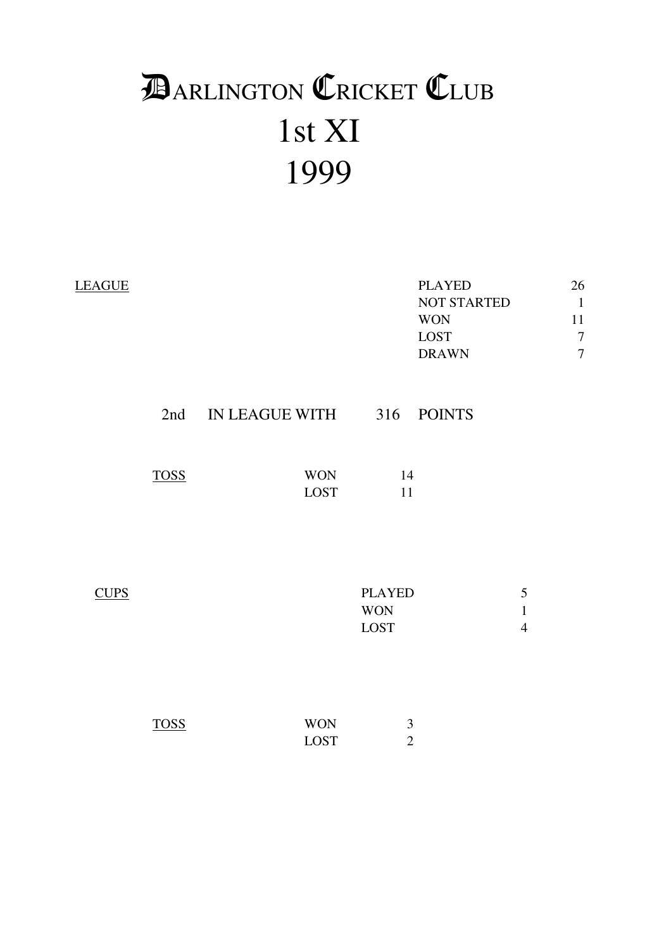# 1st XI 1999 **DARLINGTON CRICKET CLUB**

| <b>LEAGUE</b> |             |                               |                                     | <b>PLAYED</b><br>NOT STARTED<br><b>WON</b><br>LOST<br><b>DRAWN</b> |                                     | 26<br>$\mathbf{1}$<br>11<br>$\overline{7}$<br>$\overline{7}$ |
|---------------|-------------|-------------------------------|-------------------------------------|--------------------------------------------------------------------|-------------------------------------|--------------------------------------------------------------|
|               |             | 2nd IN LEAGUE WITH 316 POINTS |                                     |                                                                    |                                     |                                                              |
|               | <b>TOSS</b> | <b>WON</b><br>LOST            | 14<br>11                            |                                                                    |                                     |                                                              |
| <b>CUPS</b>   |             |                               | <b>PLAYED</b><br><b>WON</b><br>LOST |                                                                    | 5<br>$\mathbf{1}$<br>$\overline{4}$ |                                                              |
|               | <b>TOSS</b> | <b>WON</b><br><b>LOST</b>     | $\mathfrak{Z}$<br>$\overline{2}$    |                                                                    |                                     |                                                              |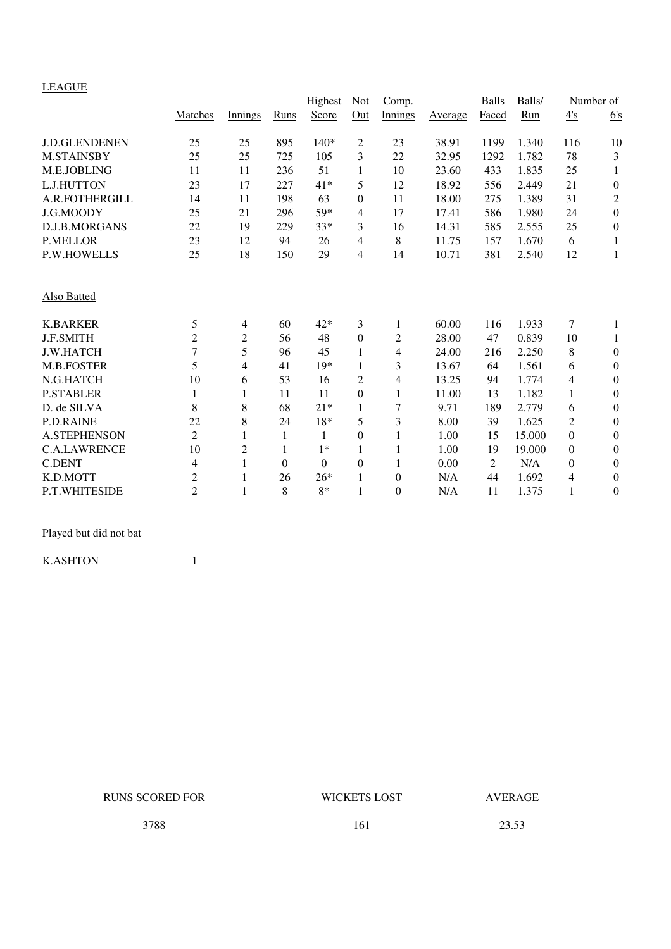# LEAGUE

| $\frac{\text{m}}{\text{m}}$ |                |                |          | Highest          | <b>Not</b>     | Comp.          |         | <b>Balls</b> | Balls/ | Number of        |                  |
|-----------------------------|----------------|----------------|----------|------------------|----------------|----------------|---------|--------------|--------|------------------|------------------|
|                             | Matches        | Innings        | Runs     | Score            | Out            | Innings        | Average | Faced        | Run    | $\frac{4}{s}$    | 6's              |
| <b>J.D.GLENDENEN</b>        | 25             | 25             | 895      | 140*             | 2              | 23             | 38.91   | 1199         | 1.340  | 116              | 10               |
| <b>M.STAINSBY</b>           | 25             | 25             | 725      | 105              | 3              | 22             | 32.95   | 1292         | 1.782  | 78               | 3                |
| M.E.JOBLING                 | 11             | 11             | 236      | 51               | 1              | 10             | 23.60   | 433          | 1.835  | 25               | 1                |
| L.J.HUTTON                  | 23             | 17             | 227      | 41*              | 5              | 12             | 18.92   | 556          | 2.449  | 21               | $\boldsymbol{0}$ |
| A.R.FOTHERGILL              | 14             | 11             | 198      | 63               | $\Omega$       | 11             | 18.00   | 275          | 1.389  | 31               | $\mathfrak{2}$   |
| J.G.MOODY                   | 25             | 21             | 296      | 59*              | 4              | 17             | 17.41   | 586          | 1.980  | 24               | $\boldsymbol{0}$ |
| D.J.B.MORGANS               | 22             | 19             | 229      | $33*$            | 3              | 16             | 14.31   | 585          | 2.555  | 25               | $\boldsymbol{0}$ |
| <b>P.MELLOR</b>             | 23             | 12             | 94       | 26               | 4              | 8              | 11.75   | 157          | 1.670  | 6                | 1                |
| <b>P.W.HOWELLS</b>          | 25             | 18             | 150      | 29               | $\overline{4}$ | 14             | 10.71   | 381          | 2.540  | 12               | 1                |
| <b>Also Batted</b>          |                |                |          |                  |                |                |         |              |        |                  |                  |
| <b>K.BARKER</b>             | 5              | 4              | 60       | 42*              | 3              | 1              | 60.00   | 116          | 1.933  | 7                | 1                |
| <b>J.F.SMITH</b>            | $\overline{2}$ | $\overline{c}$ | 56       | 48               | $\Omega$       | $\overline{c}$ | 28.00   | 47           | 0.839  | 10               | 1                |
| <b>J.W.HATCH</b>            | $\overline{7}$ | 5              | 96       | 45               | 1              | 4              | 24.00   | 216          | 2.250  | 8                | $\boldsymbol{0}$ |
| <b>M.B.FOSTER</b>           | 5              | 4              | 41       | $19*$            | 1              | 3              | 13.67   | 64           | 1.561  | 6                | $\boldsymbol{0}$ |
| N.G.HATCH                   | 10             | 6              | 53       | 16               | 2              | 4              | 13.25   | 94           | 1.774  | 4                | $\boldsymbol{0}$ |
| <b>P.STABLER</b>            | 1              | 1              | 11       | 11               | $\overline{0}$ | 1              | 11.00   | 13           | 1.182  | $\mathbf{1}$     | $\boldsymbol{0}$ |
| D. de SILVA                 | 8              | 8              | 68       | $21*$            | 1              | 7              | 9.71    | 189          | 2.779  | 6                | $\boldsymbol{0}$ |
| <b>P.D.RAINE</b>            | 22             | 8              | 24       | 18*              | 5              | 3              | 8.00    | 39           | 1.625  | $\overline{c}$   | $\boldsymbol{0}$ |
| <b>A.STEPHENSON</b>         | $\overline{2}$ | $\mathbf{1}$   | 1        | 1                | $\Omega$       | $\mathbf{1}$   | 1.00    | 15           | 15.000 | 0                | $\boldsymbol{0}$ |
| <b>C.A.LAWRENCE</b>         | 10             | $\overline{2}$ | 1        | $1*$             | 1              | 1              | 1.00    | 19           | 19.000 | $\boldsymbol{0}$ | $\boldsymbol{0}$ |
| <b>C.DENT</b>               | 4              | $\mathbf{1}$   | $\theta$ | $\boldsymbol{0}$ | $\overline{0}$ | $\mathbf{1}$   | 0.00    | 2            | N/A    | 0                | $\boldsymbol{0}$ |
| K.D.MOTT                    | $\mathfrak{2}$ | 1              | 26       | $26*$            |                | $\mathbf{0}$   | N/A     | 44           | 1.692  | 4                | $\boldsymbol{0}$ |
| P.T.WHITESIDE               | $\overline{2}$ | 1              | 8        | $8*$             | 1              | $\overline{0}$ | N/A     | 11           | 1.375  | $\mathbf{1}$     | $\boldsymbol{0}$ |
|                             |                |                |          |                  |                |                |         |              |        |                  |                  |

Played but did not bat

K.ASHTON 1

RUNS SCORED FOR WICKETS LOST AVERAGE

3788 161 23.53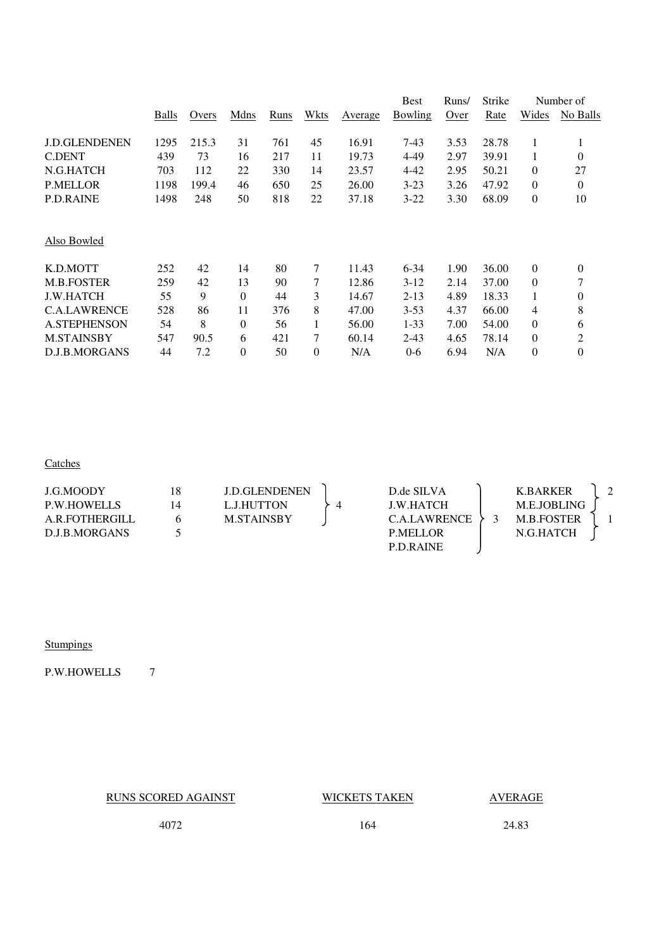|                      |       |       |          |      |              |         | <b>Best</b> | Runs/ | Strike |                | Number of        |
|----------------------|-------|-------|----------|------|--------------|---------|-------------|-------|--------|----------------|------------------|
|                      | Balls | Overs | Mdns     | Runs | Wkts         | Average | Bowling     | Over  | Rate   | Wides          | No Balls         |
| <b>J.D.GLENDENEN</b> | 1295  | 215.3 | 31       | 761  | 45           | 16.91   | 7-43        | 3.53  | 28.78  | $\mathbf{1}$   | 1                |
| C.DENT               | 439   | 73    | 16       | 217  | 11           | 19.73   | 4-49        | 2.97  | 39.91  | 1              | $\theta$         |
| N.G.HATCH            | 703   | 112   | 22       | 330  | 14           | 23.57   | 4-42        | 2.95  | 50.21  | $\mathbf{0}$   | 27               |
| <b>P.MELLOR</b>      | 1198  | 199.4 | 46       | 650  | 25           | 26.00   | $3-23$      | 3.26  | 47.92  | $\mathbf{0}$   | $\theta$         |
| <b>P.D.RAINE</b>     | 1498  | 248   | 50       | 818  | 22           | 37.18   | $3 - 22$    | 3.30  | 68.09  | $\mathbf{0}$   | 10               |
| Also Bowled          |       |       |          |      |              |         |             |       |        |                |                  |
| K.D.MOTT             | 252   | 42    | 14       | 80   | 7            | 11.43   | $6 - 34$    | 1.90  | 36.00  | $\mathbf{0}$   | $\theta$         |
| <b>M.B.FOSTER</b>    | 259   | 42    | 13       | 90   | 7            | 12.86   | $3-12$      | 2.14  | 37.00  | $\theta$       | 7                |
| <b>J.W.HATCH</b>     | 55    | 9     | $\Omega$ | 44   | 3            | 14.67   | $2 - 13$    | 4.89  | 18.33  | $\mathbf{1}$   | $\theta$         |
| <b>C.A.LAWRENCE</b>  | 528   | 86    | 11       | 376  | 8            | 47.00   | $3 - 53$    | 4.37  | 66.00  | 4              | 8                |
| <b>A.STEPHENSON</b>  | 54    | 8     | $\Omega$ | 56   | $\mathbf{1}$ | 56.00   | $1 - 33$    | 7.00  | 54.00  | $\mathbf{0}$   | 6                |
| <b>M.STAINSBY</b>    | 547   | 90.5  | 6        | 421  | 7            | 60.14   | $2 - 43$    | 4.65  | 78.14  | $\mathbf{0}$   | 2                |
| D.J.B.MORGANS        | 44    | 7.2   | $\theta$ | 50   | $\theta$     | N/A     | $0 - 6$     | 6.94  | N/A    | $\overline{0}$ | $\boldsymbol{0}$ |
|                      |       |       |          |      |              |         |             |       |        |                |                  |

# **Catches**

| J.G.MOODY          | 18 | <b>J.D.GLENDENEN</b> | D.de SILVA       | <b>K.BARKER</b>   |  |
|--------------------|----|----------------------|------------------|-------------------|--|
| <b>P.W.HOWELLS</b> | 14 | L.J.HUTTON           | <b>J.W.HATCH</b> | M.E.JOBLING       |  |
| A.R.FOTHERGILL     |    | <b>M.STAINSBY</b>    | C.A.LAWRENCE     | <b>M.B.FOSTER</b> |  |
| D.J.B.MORGANS      |    |                      | <b>P.MELLOR</b>  | N.G.HATCH         |  |
|                    |    |                      | <b>P.D.RAINE</b> |                   |  |

# **Stumpings**

P.W.HOWELLS 7

RUNS SCORED AGAINST WICKETS TAKEN AVERAGE

4072 164 24.83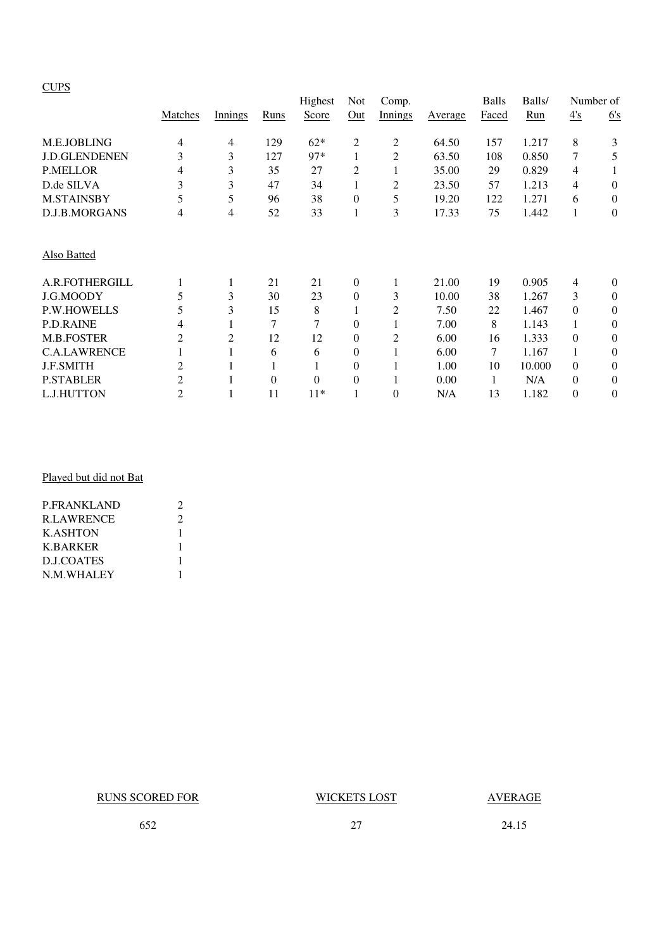# **CUPS**

|                      |                |         |          | Highest  | Not            | Comp.   |         | <b>Balls</b> | Balls/ |          | Number of    |
|----------------------|----------------|---------|----------|----------|----------------|---------|---------|--------------|--------|----------|--------------|
|                      | Matches        | Innings | Runs     | Score    | Out            | Innings | Average | Faced        | Run    | 4s       | 6's          |
| M.E.JOBLING          | 4              | 4       | 129      | $62*$    | $\overline{c}$ | 2       | 64.50   | 157          | 1.217  | 8        | 3            |
| <b>J.D.GLENDENEN</b> | 3              | 3       | 127      | $97*$    | $\mathbf{1}$   | 2       | 63.50   | 108          | 0.850  | 7        | 5            |
| <b>P.MELLOR</b>      | 4              | 3       | 35       | 27       | 2              |         | 35.00   | 29           | 0.829  | 4        |              |
| D.de SILVA           | 3              | 3       | 47       | 34       | 1              | 2       | 23.50   | 57           | 1.213  | 4        | $\theta$     |
| <b>M.STAINSBY</b>    | 5              | 5       | 96       | 38       | $\mathbf{0}$   | 5       | 19.20   | 122          | 1.271  | 6        | $\mathbf{0}$ |
| D.J.B.MORGANS        | 4              | 4       | 52       | 33       | 1              | 3       | 17.33   | 75           | 1.442  | 1        | $\theta$     |
| Also Batted          |                |         |          |          |                |         |         |              |        |          |              |
| A.R.FOTHERGILL       |                | 1       | 21       | 21       | $\mathbf{0}$   |         | 21.00   | 19           | 0.905  | 4        | $\theta$     |
| J.G.MOODY            | 5              | 3       | 30       | 23       | $\mathbf{0}$   | 3       | 10.00   | 38           | 1.267  | 3        | $\theta$     |
| <b>P.W.HOWELLS</b>   | 5              | 3       | 15       | 8        |                | 2       | 7.50    | 22           | 1.467  | $\Omega$ | $\theta$     |
| <b>P.D.RAINE</b>     | 4              |         | 7        | 7        | $\theta$       |         | 7.00    | 8            | 1.143  |          | $\theta$     |
| M.B.FOSTER           | 2              | 2       | 12       | 12       | 0              | 2       | 6.00    | 16           | 1.333  | $\Omega$ | $\theta$     |
| <b>C.A.LAWRENCE</b>  |                |         | 6        | 6        | 0              |         | 6.00    | 7            | 1.167  |          | $\theta$     |
| <b>J.F.SMITH</b>     | 2              |         |          |          | 0              |         | 1.00    | 10           | 10.000 | $\Omega$ | $\theta$     |
| <b>P.STABLER</b>     | $\overline{2}$ |         | $\theta$ | $\Omega$ | 0              |         | 0.00    | 1            | N/A    | $\Omega$ | $\theta$     |
| <b>L.J.HUTTON</b>    | $\overline{2}$ |         | 11       | $11*$    |                | 0       | N/A     | 13           | 1.182  | $\Omega$ | $\theta$     |

# Played but did not Bat

| <b>P.FRANKLAND</b> | 2 |
|--------------------|---|
| <b>R.LAWRENCE</b>  | 2 |
| <b>K.ASHTON</b>    | L |
| <b>K.BARKER</b>    | 1 |
| D.J.COATES         |   |
| N.M.WHALEY         |   |
|                    |   |

RUNS SCORED FOR WICKETS LOST AVERAGE

652 27 24.15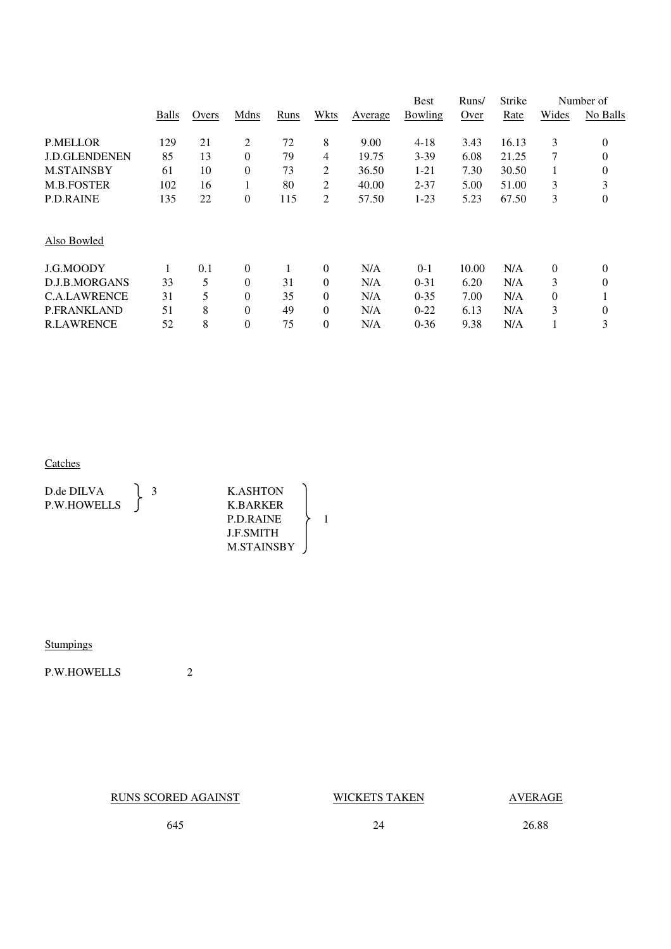|       |       |                |      |          |         | <b>Best</b> | Runs/ | Strike |                | Number of      |
|-------|-------|----------------|------|----------|---------|-------------|-------|--------|----------------|----------------|
| Balls | Overs | Mdns           | Runs | Wkts     | Average | Bowling     | Over  | Rate   | Wides          | No Balls       |
| 129   | 21    | 2              | 72   | 8        | 9.00    | $4 - 18$    | 3.43  | 16.13  | 3              | $\theta$       |
| 85    | 13    | $\theta$       | 79   | 4        | 19.75   | $3 - 39$    | 6.08  | 21.25  | 7              | $\overline{0}$ |
| 61    | 10    | $\theta$       | 73   | 2        | 36.50   | $1 - 21$    | 7.30  | 30.50  |                | 0              |
| 102   | 16    | 1              | 80   | 2        | 40.00   | $2 - 37$    | 5.00  | 51.00  | 3              | 3              |
| 135   | 22    | $\theta$       | 115  | 2        | 57.50   | $1-23$      | 5.23  | 67.50  | 3              | $\theta$       |
|       |       |                |      |          |         |             |       |        |                |                |
|       | 0.1   | $\theta$       |      | $\theta$ | N/A     | $0-1$       | 10.00 | N/A    | $\overline{0}$ | $\theta$       |
| 33    | 5     | $\theta$       | 31   | $\theta$ | N/A     | $0 - 31$    | 6.20  | N/A    | 3              | $\overline{0}$ |
| 31    | 5     | $\theta$       | 35   | $\theta$ | N/A     | $0 - 35$    | 7.00  | N/A    | $\theta$       |                |
| 51    | 8     | $\theta$       | 49   | $\theta$ | N/A     | $0 - 22$    | 6.13  | N/A    | 3              | $\theta$       |
| 52    | 8     | $\overline{0}$ | 75   | $\theta$ | N/A     | $0 - 36$    | 9.38  | N/A    |                | 3              |
|       |       |                |      |          |         |             |       |        |                |                |

### **Catches Catches**

| D.de DILVA         | <b>K.ASHTON</b>   |  |
|--------------------|-------------------|--|
| <b>P.W.HOWELLS</b> | K.BARKER          |  |
|                    | <b>P.D.RAINE</b>  |  |
|                    | <b>LE SMITH</b>   |  |
|                    | <b>M.STAINSBY</b> |  |

# **Stumpings**

P.W.HOWELLS 2

RUNS SCORED AGAINST WICKETS TAKEN AVERAGE

645 24 26.88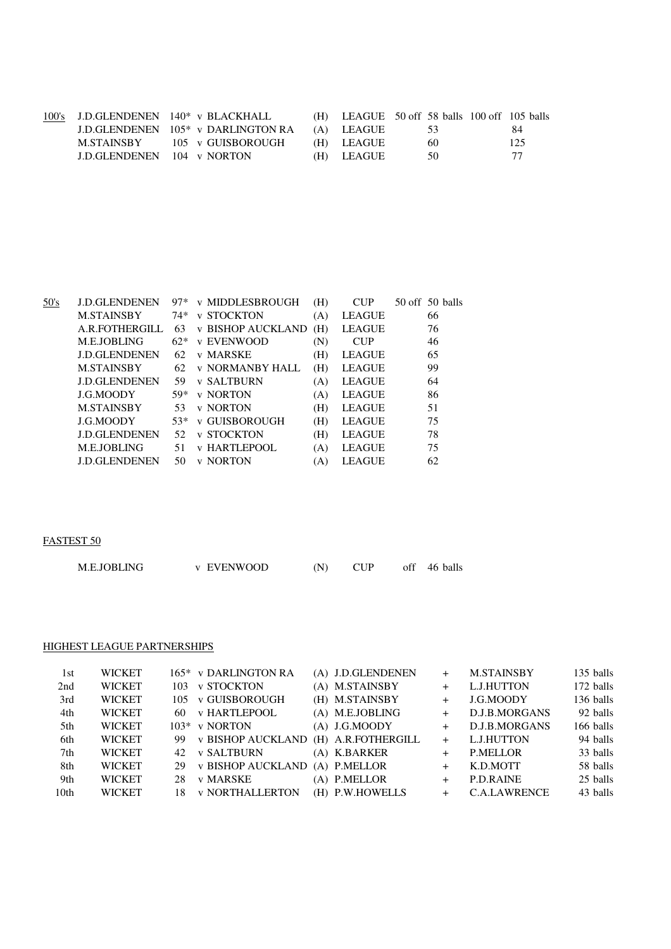|                                   | 100's J.D.GLENDENEN 140* v BLACKHALL           |            | $(H)$ LEAGUE 50 off 58 balls 100 off 105 balls |     |
|-----------------------------------|------------------------------------------------|------------|------------------------------------------------|-----|
|                                   | J.D.GLENDENEN 105 <sup>*</sup> v DARLINGTON RA | (A) LEAGUE | -53                                            | 84  |
| M.STAINSBY                        | 105 v GUISBOROUGH                              | (H) LEAGUE | 60                                             | 125 |
| <b>J.D.GLENDENEN</b> 104 v NORTON |                                                | (H) LEAGUE | 50.                                            | -77 |

| 50's | <b>J.D.GLENDENEN</b> | $97*$ | <b>v MIDDLESBROUGH</b>   | (H) | <b>CUP</b>    | $50$ off $50$ balls |
|------|----------------------|-------|--------------------------|-----|---------------|---------------------|
|      | <b>M.STAINSBY</b>    | 74*   | <b>v STOCKTON</b>        | (A) | <b>LEAGUE</b> | 66                  |
|      | A.R.FOTHERGILL       | 63    | <b>v BISHOP AUCKLAND</b> | (H) | <b>LEAGUE</b> | 76                  |
|      | M.E.JOBLING          | $62*$ | v EVENWOOD               | (N) | <b>CUP</b>    | 46                  |
|      | <b>J.D.GLENDENEN</b> | 62    | v MARSKE                 | (H) | <b>LEAGUE</b> | 65                  |
|      | <b>M.STAINSBY</b>    | 62    | <b>v NORMANBY HALL</b>   | (H) | <b>LEAGUE</b> | 99                  |
|      | <b>J.D.GLENDENEN</b> | 59    | <b>v SALTBURN</b>        | (A) | <b>LEAGUE</b> | 64                  |
|      | J.G.MOODY            | 59*   | <b>v NORTON</b>          | (A) | <b>LEAGUE</b> | 86                  |
|      | <b>M.STAINSBY</b>    | 53    | <b>v NORTON</b>          | (H) | <b>LEAGUE</b> | 51                  |
|      | J.G.MOODY            | 53*   | v GUISBOROUGH            | (H) | <b>LEAGUE</b> | 75                  |
|      | <b>J.D.GLENDENEN</b> | 52    | <b>v STOCKTON</b>        | (H) | <b>LEAGUE</b> | 78                  |
|      | <b>M.E.JOBLING</b>   | 51    | <b>v HARTLEPOOL</b>      | (A) | <b>LEAGUE</b> | 75                  |
|      | <b>J.D.GLENDENEN</b> | 50    | <b>v NORTON</b>          | (A) | <b>LEAGUE</b> | 62                  |
|      |                      |       |                          |     |               |                     |

# FASTEST 50

| M.E.JOBLING | <b>v EVENWOOD</b> |  | off 46 balls |
|-------------|-------------------|--|--------------|
|             |                   |  |              |

### HIGHEST LEAGUE PARTNERSHIPS

| 1st              | <b>WICKET</b> |     | 165* v DARLINGTON RA   | (A) J.D.GLENDENEN  | $^+$   | <b>M.STAINSBY</b>   | 135 balls |
|------------------|---------------|-----|------------------------|--------------------|--------|---------------------|-----------|
| 2nd              | <b>WICKET</b> | 103 | <b>v STOCKTON</b>      | (A) M.STAINSBY     | $^{+}$ | L.J.HUTTON          | 172 balls |
| 3rd              | <b>WICKET</b> | 105 | <b>v GUISBOROUGH</b>   | (H) M.STAINSBY     | $^{+}$ | J.G.MOODY           | 136 balls |
| 4th              | <b>WICKET</b> | 60. | <b>v HARTLEPOOL</b>    | (A) M.E.JOBLING    | $^{+}$ | D.J.B.MORGANS       | 92 balls  |
| 5th              | <b>WICKET</b> |     | 103* v NORTON          | $(A)$ J.G.MOODY    | $+$    | D.J.B.MORGANS       | 166 balls |
| 6th              | <b>WICKET</b> | 99. | v BISHOP AUCKLAND      | (H) A.R.FOTHERGILL |        | L.J.HUTTON          | 94 balls  |
| 7th              | <b>WICKET</b> | 42. | v SALTBURN             | (A) K.BARKER       | $+$    | <b>P.MELLOR</b>     | 33 balls  |
| 8th              | <b>WICKET</b> | 29  | v BISHOP AUCKLAND      | (A) P.MELLOR       | $^{+}$ | K.D.MOTT            | 58 balls  |
| 9th              | <b>WICKET</b> | 28  | v MARSKE               | (A) P.MELLOR       | $^{+}$ | P.D.RAINE           | 25 balls  |
| 10 <sub>th</sub> | <b>WICKET</b> | 18. | <b>v NORTHALLERTON</b> | (H) P.W.HOWELLS    |        | <b>C.A.LAWRENCE</b> | 43 balls  |
|                  |               |     |                        |                    |        |                     |           |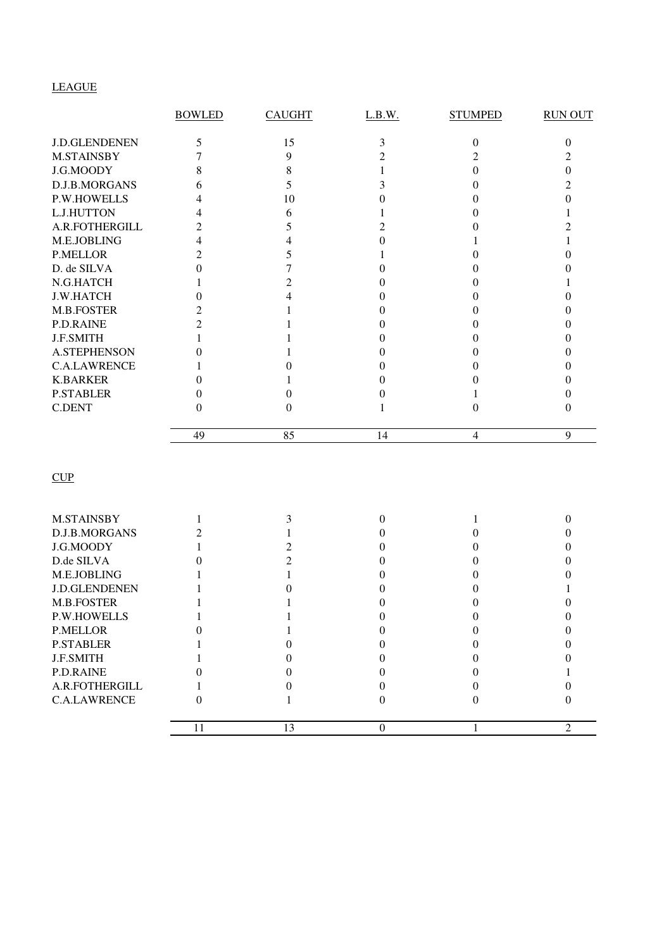# LEAGUE

| <b>BOWLED</b>    | <b>CAUGHT</b> | L.B.W.                  | <b>STUMPED</b> | <b>RUN OUT</b>        |
|------------------|---------------|-------------------------|----------------|-----------------------|
|                  |               |                         |                | 0                     |
|                  |               |                         |                |                       |
|                  |               |                         |                |                       |
| 6                |               |                         |                |                       |
|                  |               |                         |                |                       |
| 4                | 6             |                         |                |                       |
| 2                | 5             |                         |                |                       |
|                  |               |                         |                |                       |
| 2                |               |                         |                |                       |
|                  |               | $\mathbf{\Omega}$       |                |                       |
|                  |               |                         |                |                       |
|                  |               |                         |                |                       |
| 2                |               | 0                       |                |                       |
|                  |               | 0                       |                |                       |
|                  |               |                         |                |                       |
|                  |               |                         |                |                       |
|                  |               |                         |                |                       |
| $\Omega$         |               | $\Omega$                |                |                       |
| $\left( \right)$ |               |                         |                |                       |
| $\theta$         | 0             |                         | 0              |                       |
| 49               | 85            | 14                      | $\overline{4}$ | 9                     |
|                  | 5<br>8        | 15<br>9<br>8<br>5<br>10 | 3              | $\boldsymbol{0}$<br>2 |

| <b>M.STAINSBY</b>    |    |  |  |
|----------------------|----|--|--|
| D.J.B.MORGANS        |    |  |  |
| J.G.MOODY            |    |  |  |
| D.de SILVA           |    |  |  |
| M.E.JOBLING          |    |  |  |
| <b>J.D.GLENDENEN</b> |    |  |  |
| M.B.FOSTER           |    |  |  |
| <b>P.W.HOWELLS</b>   |    |  |  |
| <b>P.MELLOR</b>      |    |  |  |
| <b>P.STABLER</b>     |    |  |  |
| <b>J.F.SMITH</b>     |    |  |  |
| <b>P.D.RAINE</b>     |    |  |  |
| A.R.FOTHERGILL       |    |  |  |
| <b>C.A.LAWRENCE</b>  |    |  |  |
|                      | 13 |  |  |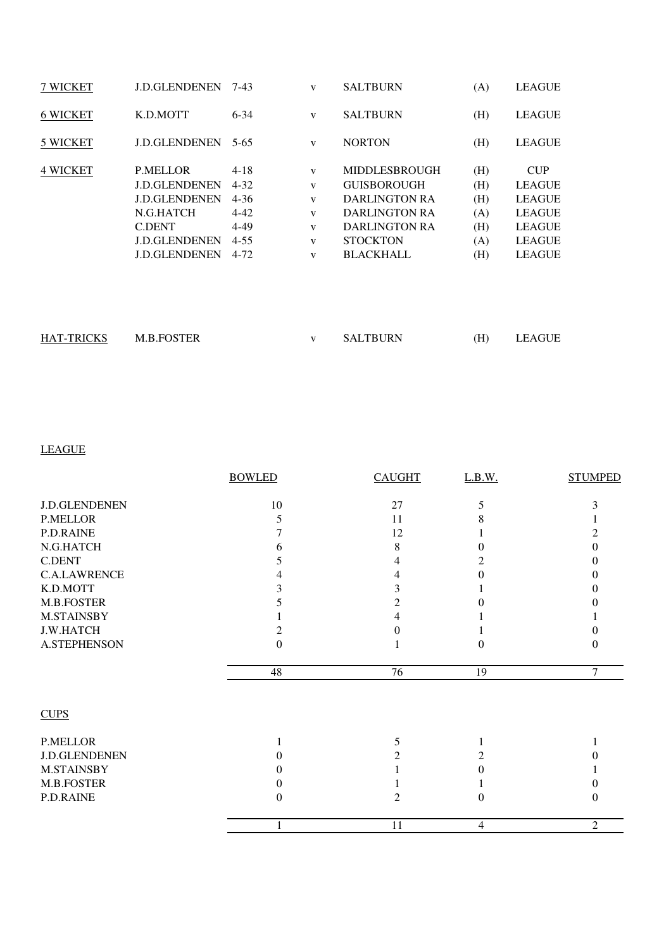| 7 WICKET        | <b>J.D.GLENDENEN</b>                                                                                                                          | 7-43                                                                             | V                                                     | <b>SALTBURN</b>                                                                                                                                           | (A)                                           | <b>LEAGUE</b>                                                                                                    |
|-----------------|-----------------------------------------------------------------------------------------------------------------------------------------------|----------------------------------------------------------------------------------|-------------------------------------------------------|-----------------------------------------------------------------------------------------------------------------------------------------------------------|-----------------------------------------------|------------------------------------------------------------------------------------------------------------------|
| <b>6 WICKET</b> | K.D.MOTT                                                                                                                                      | $6 - 34$                                                                         | V                                                     | <b>SALTBURN</b>                                                                                                                                           | (H)                                           | <b>LEAGUE</b>                                                                                                    |
| 5 WICKET        | <b>J.D.GLENDENEN</b>                                                                                                                          | $5 - 65$                                                                         | V                                                     | <b>NORTON</b>                                                                                                                                             | (H)                                           | <b>LEAGUE</b>                                                                                                    |
| <b>4 WICKET</b> | <b>P.MELLOR</b><br><b>J.D.GLENDENEN</b><br><b>J.D.GLENDENEN</b><br>N.G.HATCH<br><b>C.DENT</b><br><b>J.D.GLENDENEN</b><br><b>J.D.GLENDENEN</b> | $4 - 18$<br>$4 - 32$<br>$4 - 36$<br>$4 - 42$<br>$4 - 49$<br>$4 - 55$<br>$4 - 72$ | V<br>V<br>V<br>$\mathbf{V}$<br>$\mathbf{V}$<br>V<br>V | <b>MIDDLESBROUGH</b><br><b>GUISBOROUGH</b><br><b>DARLINGTON RA</b><br><b>DARLINGTON RA</b><br><b>DARLINGTON RA</b><br><b>STOCKTON</b><br><b>BLACKHALL</b> | (H)<br>(H)<br>(H)<br>(A)<br>(H)<br>(A)<br>(H) | <b>CUP</b><br><b>LEAGUE</b><br><b>LEAGUE</b><br><b>LEAGUE</b><br><b>LEAGUE</b><br><b>LEAGUE</b><br><b>LEAGUE</b> |
|                 |                                                                                                                                               |                                                                                  |                                                       |                                                                                                                                                           |                                               |                                                                                                                  |

| <b>HAT-TRICKS</b> | <b>M.B.FOSTER</b> | <b>SALTBURN</b> | $\rm(H)$ | <b>LEAGUE</b> |
|-------------------|-------------------|-----------------|----------|---------------|
|                   |                   |                 |          |               |

# LEAGUE

|                      | <b>BOWLED</b> | <b>CAUGHT</b> | L.B.W.         | <b>STUMPED</b> |
|----------------------|---------------|---------------|----------------|----------------|
| <b>J.D.GLENDENEN</b> | 10            | 27            | 5              |                |
| <b>P.MELLOR</b>      | 5             | 11            | 8              |                |
| P.D.RAINE            |               | 12            |                |                |
| N.G.HATCH            | 6             | 8             | 0              |                |
| <b>C.DENT</b>        |               | 4             |                |                |
| <b>C.A.LAWRENCE</b>  |               |               | 0              |                |
| K.D.MOTT             |               |               |                |                |
| M.B.FOSTER           |               |               |                |                |
| <b>M.STAINSBY</b>    |               |               |                |                |
| <b>J.W.HATCH</b>     | 2             |               |                |                |
| <b>A.STEPHENSON</b>  | $\theta$      |               | 0              | 0              |
|                      | 48            | 76            | 19             | $\tau$         |
| <b>CUPS</b>          |               |               |                |                |
| P.MELLOR             |               | 5             |                |                |
| <b>J.D.GLENDENEN</b> | 0             | 2             |                |                |
| <b>M.STAINSBY</b>    |               |               | 0              |                |
| M.B.FOSTER           | $^{(1)}$      |               |                |                |
| P.D.RAINE            | $\Omega$      | 2             | $\Omega$       | $\theta$       |
|                      | 1             | 11            | $\overline{4}$ | $\overline{2}$ |